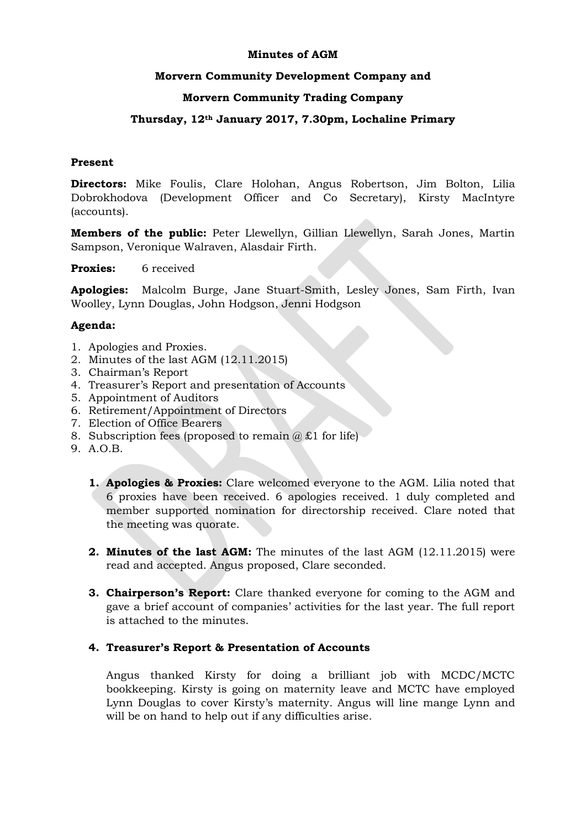## **Minutes of AGM**

## **Morvern Community Development Company and**

# **Morvern Community Trading Company**

## **Thursday, 12th January 2017, 7.30pm, Lochaline Primary**

## **Present**

**Directors:** Mike Foulis, Clare Holohan, Angus Robertson, Jim Bolton, Lilia Dobrokhodova (Development Officer and Co Secretary), Kirsty MacIntyre (accounts).

**Members of the public:** Peter Llewellyn, Gillian Llewellyn, Sarah Jones, Martin Sampson, Veronique Walraven, Alasdair Firth.

**Proxies:** 6 received

**Apologies:** Malcolm Burge, Jane Stuart-Smith, Lesley Jones, Sam Firth, Ivan Woolley, Lynn Douglas, John Hodgson, Jenni Hodgson

## **Agenda:**

- 1. Apologies and Proxies.
- 2. Minutes of the last AGM (12.11.2015)
- 3. Chairman's Report
- 4. Treasurer's Report and presentation of Accounts
- 5. Appointment of Auditors
- 6. Retirement/Appointment of Directors
- 7. Election of Office Bearers
- 8. Subscription fees (proposed to remain  $(a) \pounds 1$  for life)
- 9. A.O.B.
	- **1. Apologies & Proxies:** Clare welcomed everyone to the AGM. Lilia noted that 6 proxies have been received. 6 apologies received. 1 duly completed and member supported nomination for directorship received. Clare noted that the meeting was quorate.
	- **2. Minutes of the last AGM:** The minutes of the last AGM (12.11.2015) were read and accepted. Angus proposed, Clare seconded.
	- **3. Chairperson's Report:** Clare thanked everyone for coming to the AGM and gave a brief account of companies' activities for the last year. The full report is attached to the minutes.

#### **4. Treasurer's Report & Presentation of Accounts**

Angus thanked Kirsty for doing a brilliant job with MCDC/MCTC bookkeeping. Kirsty is going on maternity leave and MCTC have employed Lynn Douglas to cover Kirsty's maternity. Angus will line mange Lynn and will be on hand to help out if any difficulties arise.